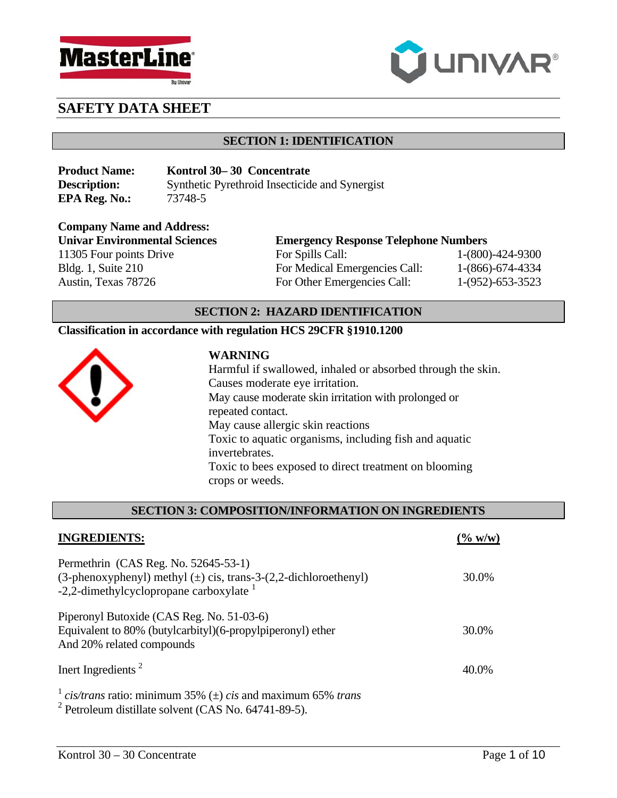



## **SECTION 1: IDENTIFICATION**

| <b>Product Name:</b> | Kontrol 30–30 Concentrate                      |
|----------------------|------------------------------------------------|
| <b>Description:</b>  | Synthetic Pyrethroid Insecticide and Synergist |
| <b>EPA Reg. No.:</b> | 73748-5                                        |

**Company Name and Address:**  11305 Four points Drive For Spills Call: 1-(800)-424-9300 Bldg. 1, Suite 210 For Medical Emergencies Call: 1-(866)-674-4334 Austin, Texas 78726 For Other Emergencies Call: 1-(952)-653-3523

# **Univar Environmental Sciences Emergency Response Telephone Numbers**

# **SECTION 2: HAZARD IDENTIFICATION**

# **Classification in accordance with regulation HCS 29CFR §1910.1200**



#### **WARNING**

Harmful if swallowed, inhaled or absorbed through the skin. Causes moderate eye irritation. May cause moderate skin irritation with prolonged or repeated contact. May cause allergic skin reactions Toxic to aquatic organisms, including fish and aquatic invertebrates. Toxic to bees exposed to direct treatment on blooming crops or weeds.

#### **SECTION 3: COMPOSITION/INFORMATION ON INGREDIENTS**

| <b>INGREDIENTS:</b>                                                                                                                                             | $(\% w/w)$ |
|-----------------------------------------------------------------------------------------------------------------------------------------------------------------|------------|
| Permethrin (CAS Reg. No. 52645-53-1)<br>(3-phenoxyphenyl) methyl $(\pm)$ cis, trans-3- $(2,2$ -dichloroethenyl)<br>-2,2-dimethylcyclopropane carboxylate $^{1}$ | 30.0%      |
| Piperonyl Butoxide (CAS Reg. No. 51-03-6)<br>Equivalent to 80% (butylcarbityl)(6-propylpiperonyl) ether<br>And 20% related compounds                            | 30.0%      |
| Inert Ingredients <sup>2</sup>                                                                                                                                  | 40.0%      |
| <sup>1</sup> cis/trans ratio: minimum 35% ( $\pm$ ) cis and maximum 65% trans<br>$2$ Petroleum distillate solvent (CAS No. 64741-89-5).                         |            |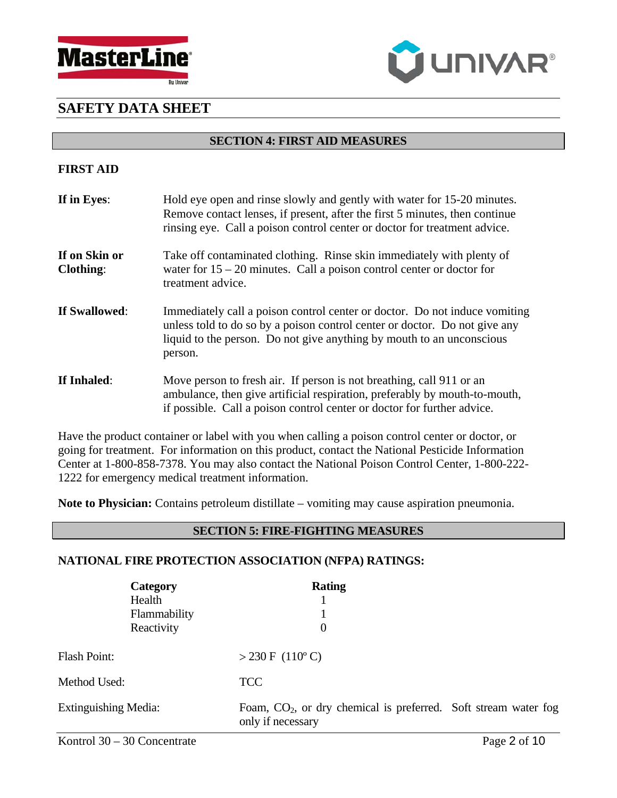



#### **SECTION 4: FIRST AID MEASURES**

# **FIRST AID**

| If in Eyes:                       | Hold eye open and rinse slowly and gently with water for 15-20 minutes.<br>Remove contact lenses, if present, after the first 5 minutes, then continue<br>rinsing eye. Call a poison control center or doctor for treatment advice.          |
|-----------------------------------|----------------------------------------------------------------------------------------------------------------------------------------------------------------------------------------------------------------------------------------------|
| If on Skin or<br><b>Clothing:</b> | Take off contaminated clothing. Rinse skin immediately with plenty of<br>water for $15 - 20$ minutes. Call a poison control center or doctor for<br>treatment advice.                                                                        |
| If Swallowed:                     | Immediately call a poison control center or doctor. Do not induce vomiting<br>unless told to do so by a poison control center or doctor. Do not give any<br>liquid to the person. Do not give anything by mouth to an unconscious<br>person. |
| If Inhaled:                       | Move person to fresh air. If person is not breathing, call 911 or an<br>ambulance, then give artificial respiration, preferably by mouth-to-mouth,<br>if possible. Call a poison control center or doctor for further advice.                |

Have the product container or label with you when calling a poison control center or doctor, or going for treatment. For information on this product, contact the National Pesticide Information Center at 1-800-858-7378. You may also contact the National Poison Control Center, 1-800-222- 1222 for emergency medical treatment information.

**Note to Physician:** Contains petroleum distillate – vomiting may cause aspiration pneumonia.

## **SECTION 5: FIRE-FIGHTING MEASURES**

## **NATIONAL FIRE PROTECTION ASSOCIATION (NFPA) RATINGS:**

|                             | Category<br>Health<br>Flammability<br>Reactivity | <b>Rating</b><br>$\overline{0}$                                                        |  |
|-----------------------------|--------------------------------------------------|----------------------------------------------------------------------------------------|--|
| Flash Point:                |                                                  | $>$ 230 F (110°C)                                                                      |  |
| Method Used:                |                                                  | <b>TCC</b>                                                                             |  |
| <b>Extinguishing Media:</b> |                                                  | Foam, $CO2$ , or dry chemical is preferred. Soft stream water fog<br>only if necessary |  |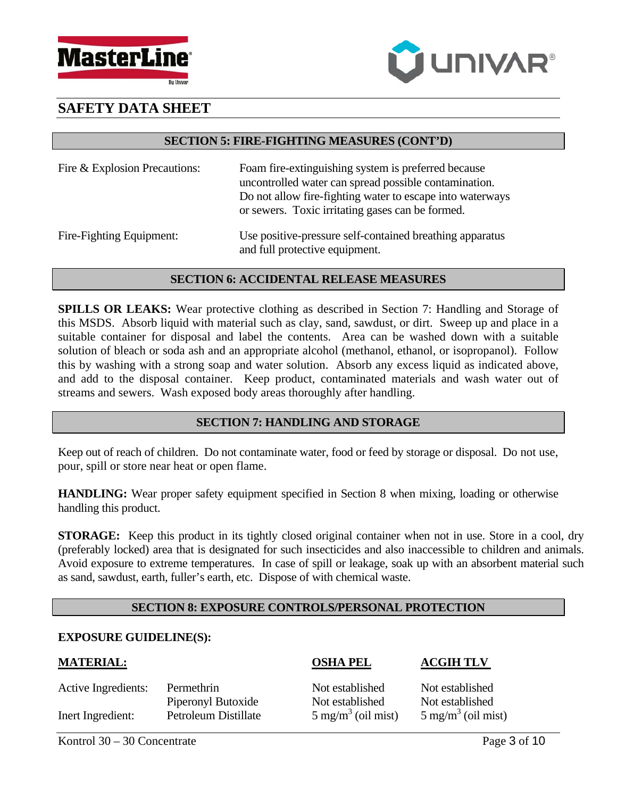



#### **SECTION 5: FIRE-FIGHTING MEASURES (CONT'D)**

| Fire & Explosion Precautions: | Foam fire-extinguishing system is preferred because<br>uncontrolled water can spread possible contamination.<br>Do not allow fire-fighting water to escape into waterways<br>or sewers. Toxic irritating gases can be formed. |
|-------------------------------|-------------------------------------------------------------------------------------------------------------------------------------------------------------------------------------------------------------------------------|
| Fire-Fighting Equipment:      | Use positive-pressure self-contained breathing apparatus                                                                                                                                                                      |

## **SECTION 6: ACCIDENTAL RELEASE MEASURES**

and full protective equipment.

**SPILLS OR LEAKS:** Wear protective clothing as described in Section 7: Handling and Storage of this MSDS. Absorb liquid with material such as clay, sand, sawdust, or dirt. Sweep up and place in a suitable container for disposal and label the contents. Area can be washed down with a suitable solution of bleach or soda ash and an appropriate alcohol (methanol, ethanol, or isopropanol). Follow this by washing with a strong soap and water solution. Absorb any excess liquid as indicated above, and add to the disposal container. Keep product, contaminated materials and wash water out of streams and sewers. Wash exposed body areas thoroughly after handling.

# **SECTION 7: HANDLING AND STORAGE**

Keep out of reach of children. Do not contaminate water, food or feed by storage or disposal. Do not use, pour, spill or store near heat or open flame.

**HANDLING:** Wear proper safety equipment specified in Section 8 when mixing, loading or otherwise handling this product.

**STORAGE:** Keep this product in its tightly closed original container when not in use. Store in a cool, dry (preferably locked) area that is designated for such insecticides and also inaccessible to children and animals. Avoid exposure to extreme temperatures. In case of spill or leakage, soak up with an absorbent material such as sand, sawdust, earth, fuller's earth, etc. Dispose of with chemical waste.

# **SECTION 8: EXPOSURE CONTROLS/PERSONAL PROTECTION**

#### **EXPOSURE GUIDELINE(S):**

#### **MATERIAL: OSHA PEL ACGIH TLV**

| Active Ingredients: | Permethrin           | Not established               | Not estal          |
|---------------------|----------------------|-------------------------------|--------------------|
|                     | Piperonyl Butoxide   | Not established               | Not estal          |
| Inert Ingredient:   | Petroleum Distillate | $5 \text{ mg/m}^3$ (oil mist) | $5 \text{ mg/m}^3$ |

Not established Not established Not established Not established

 $5 \text{ mg/m}^3$  (oil mist)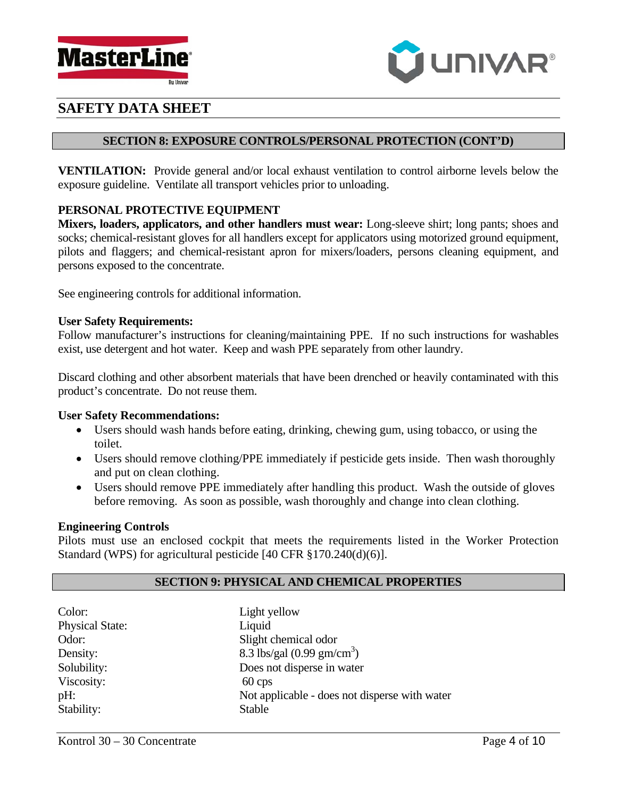



## **SECTION 8: EXPOSURE CONTROLS/PERSONAL PROTECTION (CONT'D)**

**VENTILATION:** Provide general and/or local exhaust ventilation to control airborne levels below the exposure guideline. Ventilate all transport vehicles prior to unloading.

# **PERSONAL PROTECTIVE EQUIPMENT**

**Mixers, loaders, applicators, and other handlers must wear:** Long-sleeve shirt; long pants; shoes and socks; chemical-resistant gloves for all handlers except for applicators using motorized ground equipment, pilots and flaggers; and chemical-resistant apron for mixers/loaders, persons cleaning equipment, and persons exposed to the concentrate.

See engineering controls for additional information.

#### **User Safety Requirements:**

Follow manufacturer's instructions for cleaning/maintaining PPE. If no such instructions for washables exist, use detergent and hot water. Keep and wash PPE separately from other laundry.

Discard clothing and other absorbent materials that have been drenched or heavily contaminated with this product's concentrate. Do not reuse them.

#### **User Safety Recommendations:**

- Users should wash hands before eating, drinking, chewing gum, using tobacco, or using the toilet.
- Users should remove clothing/PPE immediately if pesticide gets inside. Then wash thoroughly and put on clean clothing.
- Users should remove PPE immediately after handling this product. Wash the outside of gloves before removing. As soon as possible, wash thoroughly and change into clean clothing.

#### **Engineering Controls**

Pilots must use an enclosed cockpit that meets the requirements listed in the Worker Protection Standard (WPS) for agricultural pesticide [40 CFR §170.240(d)(6)].

## **SECTION 9: PHYSICAL AND CHEMICAL PROPERTIES**

| Color:                 | Light yellow                                  |
|------------------------|-----------------------------------------------|
| <b>Physical State:</b> | Liquid                                        |
| Odor:                  | Slight chemical odor                          |
| Density:               | 8.3 lbs/gal $(0.99 \text{ gm/cm}^3)$          |
| Solubility:            | Does not disperse in water                    |
| Viscosity:             | $60 \,\text{cps}$                             |
| pH:                    | Not applicable - does not disperse with water |
| Stability:             | <b>Stable</b>                                 |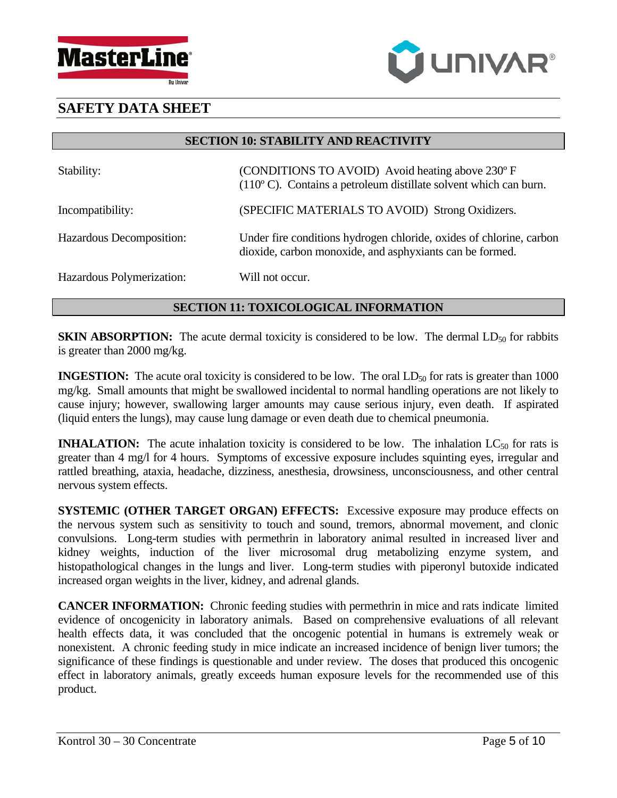



**SECTION 10: STABILITY AND REACTIVITY** 

| Stability:                | (CONDITIONS TO AVOID) Avoid heating above 230° F<br>$(110o C)$ . Contains a petroleum distillate solvent which can burn.        |
|---------------------------|---------------------------------------------------------------------------------------------------------------------------------|
| Incompatibility:          | (SPECIFIC MATERIALS TO AVOID) Strong Oxidizers.                                                                                 |
| Hazardous Decomposition:  | Under fire conditions hydrogen chloride, oxides of chlorine, carbon<br>dioxide, carbon monoxide, and asphyxiants can be formed. |
| Hazardous Polymerization: | Will not occur.                                                                                                                 |

# **SECTION 11: TOXICOLOGICAL INFORMATION**

**SKIN ABSORPTION:** The acute dermal toxicity is considered to be low. The dermal  $LD_{50}$  for rabbits is greater than 2000 mg/kg.

**INGESTION:** The acute oral toxicity is considered to be low. The oral LD<sub>50</sub> for rats is greater than 1000 mg/kg. Small amounts that might be swallowed incidental to normal handling operations are not likely to cause injury; however, swallowing larger amounts may cause serious injury, even death. If aspirated (liquid enters the lungs), may cause lung damage or even death due to chemical pneumonia.

**INHALATION:** The acute inhalation toxicity is considered to be low. The inhalation  $LC_{50}$  for rats is greater than 4 mg/l for 4 hours. Symptoms of excessive exposure includes squinting eyes, irregular and rattled breathing, ataxia, headache, dizziness, anesthesia, drowsiness, unconsciousness, and other central nervous system effects.

**SYSTEMIC (OTHER TARGET ORGAN) EFFECTS:** Excessive exposure may produce effects on the nervous system such as sensitivity to touch and sound, tremors, abnormal movement, and clonic convulsions. Long-term studies with permethrin in laboratory animal resulted in increased liver and kidney weights, induction of the liver microsomal drug metabolizing enzyme system, and histopathological changes in the lungs and liver. Long-term studies with piperonyl butoxide indicated increased organ weights in the liver, kidney, and adrenal glands.

**CANCER INFORMATION:** Chronic feeding studies with permethrin in mice and rats indicate limited evidence of oncogenicity in laboratory animals. Based on comprehensive evaluations of all relevant health effects data, it was concluded that the oncogenic potential in humans is extremely weak or nonexistent. A chronic feeding study in mice indicate an increased incidence of benign liver tumors; the significance of these findings is questionable and under review. The doses that produced this oncogenic effect in laboratory animals, greatly exceeds human exposure levels for the recommended use of this product.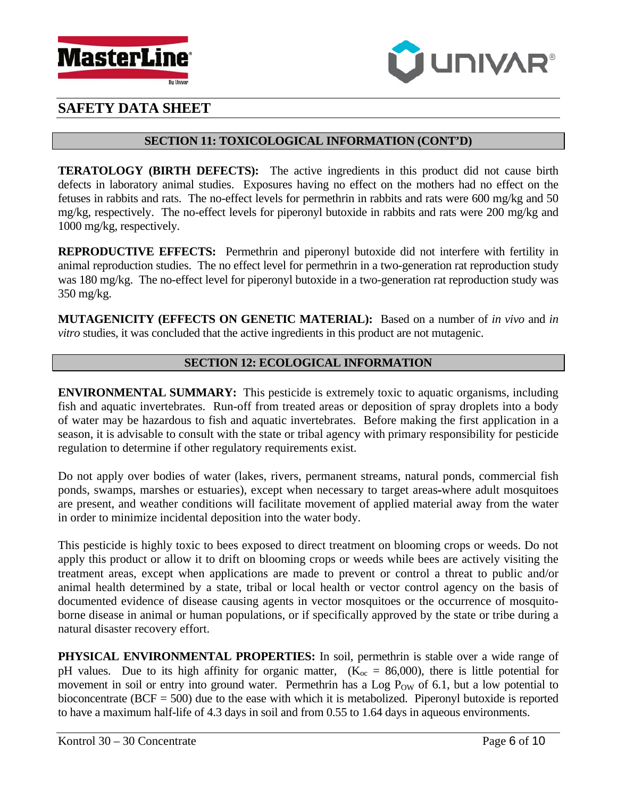



# **SECTION 11: TOXICOLOGICAL INFORMATION (CONT'D)**

**TERATOLOGY (BIRTH DEFECTS):** The active ingredients in this product did not cause birth defects in laboratory animal studies. Exposures having no effect on the mothers had no effect on the fetuses in rabbits and rats. The no-effect levels for permethrin in rabbits and rats were 600 mg/kg and 50 mg/kg, respectively. The no-effect levels for piperonyl butoxide in rabbits and rats were 200 mg/kg and 1000 mg/kg, respectively.

**REPRODUCTIVE EFFECTS:** Permethrin and piperonyl butoxide did not interfere with fertility in animal reproduction studies. The no effect level for permethrin in a two-generation rat reproduction study was 180 mg/kg. The no-effect level for piperonyl butoxide in a two-generation rat reproduction study was 350 mg/kg.

**MUTAGENICITY (EFFECTS ON GENETIC MATERIAL):** Based on a number of *in vivo* and *in vitro* studies, it was concluded that the active ingredients in this product are not mutagenic.

# **SECTION 12: ECOLOGICAL INFORMATION**

**ENVIRONMENTAL SUMMARY:** This pesticide is extremely toxic to aquatic organisms, including fish and aquatic invertebrates. Run-off from treated areas or deposition of spray droplets into a body of water may be hazardous to fish and aquatic invertebrates. Before making the first application in a season, it is advisable to consult with the state or tribal agency with primary responsibility for pesticide regulation to determine if other regulatory requirements exist.

Do not apply over bodies of water (lakes, rivers, permanent streams, natural ponds, commercial fish ponds, swamps, marshes or estuaries), except when necessary to target areas where adult mosquitoes are present, and weather conditions will facilitate movement of applied material away from the water in order to minimize incidental deposition into the water body.

This pesticide is highly toxic to bees exposed to direct treatment on blooming crops or weeds. Do not apply this product or allow it to drift on blooming crops or weeds while bees are actively visiting the treatment areas, except when applications are made to prevent or control a threat to public and/or animal health determined by a state, tribal or local health or vector control agency on the basis of documented evidence of disease causing agents in vector mosquitoes or the occurrence of mosquitoborne disease in animal or human populations, or if specifically approved by the state or tribe during a natural disaster recovery effort.

**PHYSICAL ENVIRONMENTAL PROPERTIES:** In soil, permethrin is stable over a wide range of pH values. Due to its high affinity for organic matter,  $(K_{\text{oc}} = 86,000)$ , there is little potential for movement in soil or entry into ground water. Permethrin has a Log P<sub>OW</sub> of 6.1, but a low potential to bioconcentrate ( $BCF = 500$ ) due to the ease with which it is metabolized. Piperonyl butoxide is reported to have a maximum half-life of 4.3 days in soil and from 0.55 to 1.64 days in aqueous environments.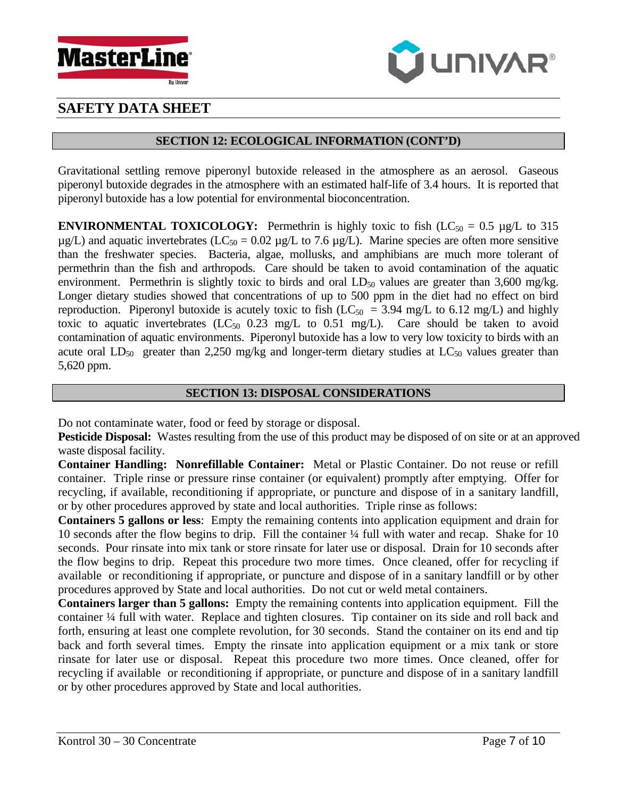



## **SECTION 12: ECOLOGICAL INFORMATION (CONT'D)**

Gravitational settling remove piperonyl butoxide released in the atmosphere as an aerosol. Gaseous piperonyl butoxide degrades in the atmosphere with an estimated half-life of 3.4 hours. It is reported that piperonyl butoxide has a low potential for environmental bioconcentration.

**ENVIRONMENTAL TOXICOLOGY:** Permethrin is highly toxic to fish  $(LC_{50} = 0.5 \mu g/L)$  to 315  $\mu$ g/L) and aquatic invertebrates (LC<sub>50</sub> = 0.02  $\mu$ g/L to 7.6  $\mu$ g/L). Marine species are often more sensitive than the freshwater species. Bacteria, algae, mollusks, and amphibians are much more tolerant of permethrin than the fish and arthropods. Care should be taken to avoid contamination of the aquatic environment. Permethrin is slightly toxic to birds and oral  $LD_{50}$  values are greater than 3,600 mg/kg. Longer dietary studies showed that concentrations of up to 500 ppm in the diet had no effect on bird reproduction. Piperonyl butoxide is acutely toxic to fish ( $LC_{50}$  = 3.94 mg/L to 6.12 mg/L) and highly toxic to aquatic invertebrates  $(LC_{50}$  0.23 mg/L to 0.51 mg/L). Care should be taken to avoid contamination of aquatic environments. Piperonyl butoxide has a low to very low toxicity to birds with an acute oral  $LD_{50}$  greater than 2,250 mg/kg and longer-term dietary studies at  $LC_{50}$  values greater than 5,620 ppm.

#### **SECTION 13: DISPOSAL CONSIDERATIONS**

Do not contaminate water, food or feed by storage or disposal.

**Pesticide Disposal:** Wastes resulting from the use of this product may be disposed of on site or at an approved waste disposal facility.

**Container Handling: Nonrefillable Container:** Metal or Plastic Container. Do not reuse or refill container. Triple rinse or pressure rinse container (or equivalent) promptly after emptying. Offer for recycling, if available, reconditioning if appropriate, or puncture and dispose of in a sanitary landfill, or by other procedures approved by state and local authorities. Triple rinse as follows:

**Containers 5 gallons or less**: Empty the remaining contents into application equipment and drain for 10 seconds after the flow begins to drip. Fill the container ¼ full with water and recap. Shake for 10 seconds. Pour rinsate into mix tank or store rinsate for later use or disposal. Drain for 10 seconds after the flow begins to drip. Repeat this procedure two more times. Once cleaned, offer for recycling if available or reconditioning if appropriate, or puncture and dispose of in a sanitary landfill or by other procedures approved by State and local authorities. Do not cut or weld metal containers.

**Containers larger than 5 gallons:** Empty the remaining contents into application equipment. Fill the container ¼ full with water. Replace and tighten closures. Tip container on its side and roll back and forth, ensuring at least one complete revolution, for 30 seconds. Stand the container on its end and tip back and forth several times. Empty the rinsate into application equipment or a mix tank or store rinsate for later use or disposal. Repeat this procedure two more times. Once cleaned, offer for recycling if available or reconditioning if appropriate, or puncture and dispose of in a sanitary landfill or by other procedures approved by State and local authorities.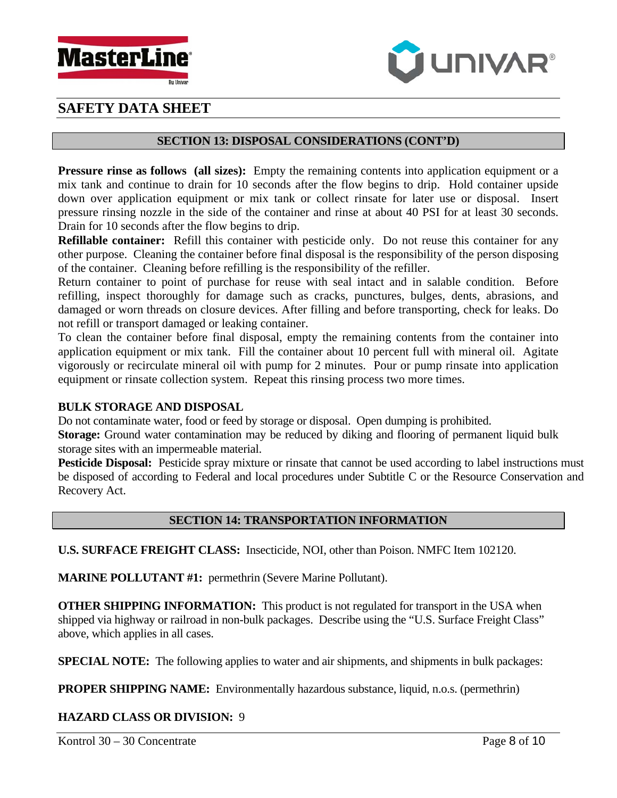



## **SECTION 13: DISPOSAL CONSIDERATIONS (CONT'D)**

**Pressure rinse as follows (all sizes):** Empty the remaining contents into application equipment or a mix tank and continue to drain for 10 seconds after the flow begins to drip. Hold container upside down over application equipment or mix tank or collect rinsate for later use or disposal. Insert pressure rinsing nozzle in the side of the container and rinse at about 40 PSI for at least 30 seconds. Drain for 10 seconds after the flow begins to drip.

**Refillable container:** Refill this container with pesticide only. Do not reuse this container for any other purpose. Cleaning the container before final disposal is the responsibility of the person disposing of the container. Cleaning before refilling is the responsibility of the refiller.

Return container to point of purchase for reuse with seal intact and in salable condition. Before refilling, inspect thoroughly for damage such as cracks, punctures, bulges, dents, abrasions, and damaged or worn threads on closure devices. After filling and before transporting, check for leaks. Do not refill or transport damaged or leaking container.

To clean the container before final disposal, empty the remaining contents from the container into application equipment or mix tank. Fill the container about 10 percent full with mineral oil. Agitate vigorously or recirculate mineral oil with pump for 2 minutes. Pour or pump rinsate into application equipment or rinsate collection system. Repeat this rinsing process two more times.

#### **BULK STORAGE AND DISPOSAL**

Do not contaminate water, food or feed by storage or disposal. Open dumping is prohibited.

**Storage:** Ground water contamination may be reduced by diking and flooring of permanent liquid bulk storage sites with an impermeable material.

**Pesticide Disposal:** Pesticide spray mixture or rinsate that cannot be used according to label instructions must be disposed of according to Federal and local procedures under Subtitle C or the Resource Conservation and Recovery Act.

# **SECTION 14: TRANSPORTATION INFORMATION**

**U.S. SURFACE FREIGHT CLASS:** Insecticide, NOI, other than Poison. NMFC Item 102120.

**MARINE POLLUTANT #1:** permethrin (Severe Marine Pollutant).

**OTHER SHIPPING INFORMATION:** This product is not regulated for transport in the USA when shipped via highway or railroad in non-bulk packages. Describe using the "U.S. Surface Freight Class" above, which applies in all cases.

**SPECIAL NOTE:** The following applies to water and air shipments, and shipments in bulk packages:

**PROPER SHIPPING NAME:** Environmentally hazardous substance, liquid, n.o.s. (permethrin)

# **HAZARD CLASS OR DIVISION:** 9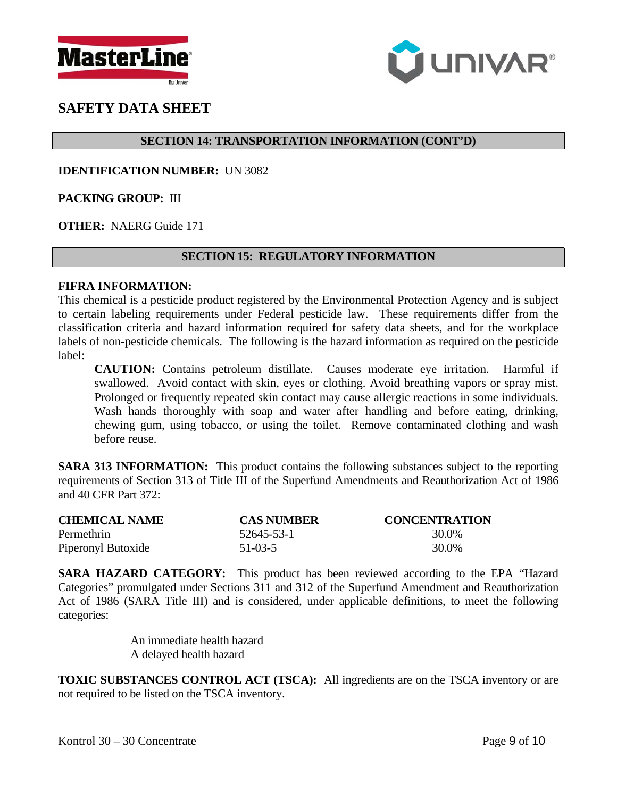



# **SECTION 14: TRANSPORTATION INFORMATION (CONT'D)**

**IDENTIFICATION NUMBER:** UN 3082

**PACKING GROUP:** III

**OTHER:** NAERG Guide 171

# **SECTION 15: REGULATORY INFORMATION**

#### **FIFRA INFORMATION:**

This chemical is a pesticide product registered by the Environmental Protection Agency and is subject to certain labeling requirements under Federal pesticide law. These requirements differ from the classification criteria and hazard information required for safety data sheets, and for the workplace labels of non-pesticide chemicals. The following is the hazard information as required on the pesticide label:

**CAUTION:** Contains petroleum distillate. Causes moderate eye irritation. Harmful if swallowed. Avoid contact with skin, eyes or clothing. Avoid breathing vapors or spray mist. Prolonged or frequently repeated skin contact may cause allergic reactions in some individuals. Wash hands thoroughly with soap and water after handling and before eating, drinking, chewing gum, using tobacco, or using the toilet. Remove contaminated clothing and wash before reuse.

**SARA 313 INFORMATION:** This product contains the following substances subject to the reporting requirements of Section 313 of Title III of the Superfund Amendments and Reauthorization Act of 1986 and 40 CFR Part 372:

| <b>CHEMICAL NAME</b> | <b>CAS NUMBER</b> | <b>CONCENTRATION</b> |
|----------------------|-------------------|----------------------|
| Permethrin           | 52645-53-1        | 30.0%                |
| Piperonyl Butoxide   | $51-03-5$         | 30.0%                |

**SARA HAZARD CATEGORY:** This product has been reviewed according to the EPA "Hazard Categories" promulgated under Sections 311 and 312 of the Superfund Amendment and Reauthorization Act of 1986 (SARA Title III) and is considered, under applicable definitions, to meet the following categories:

> An immediate health hazard A delayed health hazard

**TOXIC SUBSTANCES CONTROL ACT (TSCA):** All ingredients are on the TSCA inventory or are not required to be listed on the TSCA inventory.